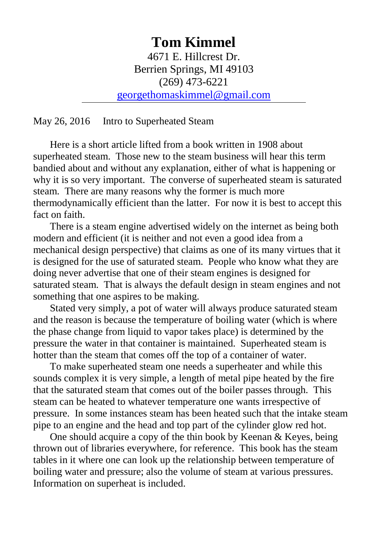# **Tom Kimmel** 4671 E. Hillcrest Dr. Berrien Springs, MI 49103 (269) 473-6221 [georgethomaskimmel@gmail.com](mailto:georgethomaskimmel@gmail.com)

May 26, 2016 Intro to Superheated Steam

 Here is a short article lifted from a book written in 1908 about superheated steam. Those new to the steam business will hear this term bandied about and without any explanation, either of what is happening or why it is so very important. The converse of superheated steam is saturated steam. There are many reasons why the former is much more thermodynamically efficient than the latter. For now it is best to accept this fact on faith

There is a steam engine advertised widely on the internet as being both modern and efficient (it is neither and not even a good idea from a mechanical design perspective) that claims as one of its many virtues that it is designed for the use of saturated steam. People who know what they are doing never advertise that one of their steam engines is designed for saturated steam. That is always the default design in steam engines and not something that one aspires to be making.

Stated very simply, a pot of water will always produce saturated steam and the reason is because the temperature of boiling water (which is where the phase change from liquid to vapor takes place) is determined by the pressure the water in that container is maintained. Superheated steam is hotter than the steam that comes off the top of a container of water.

To make superheated steam one needs a superheater and while this sounds complex it is very simple, a length of metal pipe heated by the fire that the saturated steam that comes out of the boiler passes through. This steam can be heated to whatever temperature one wants irrespective of pressure. In some instances steam has been heated such that the intake steam pipe to an engine and the head and top part of the cylinder glow red hot.

 One should acquire a copy of the thin book by Keenan & Keyes, being thrown out of libraries everywhere, for reference. This book has the steam tables in it where one can look up the relationship between temperature of boiling water and pressure; also the volume of steam at various pressures. Information on superheat is included.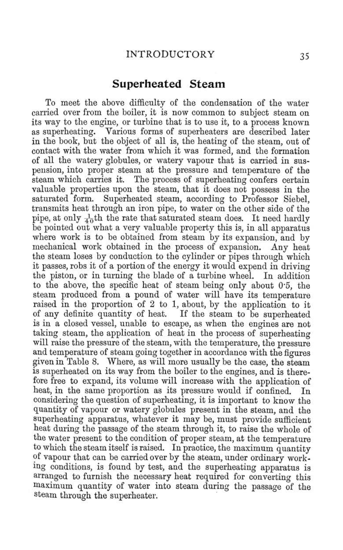### Superheated Steam

To meet the above difficulty of the condensation of the water carried over from the boiler, it is now common to subject steam on its way to the engine, or turbine that is to use it, to a process known as superheating. Various forms of superheaters are described later in the book, but the object of all is, the heating of the steam, out of contact with the water from which it was formed, and the formation of all the watery globules, or watery vapour that is carried in suspension, into proper steam at the pressure and temperature of the steam which carries it. The process of superheating confers certain valuable properties upon the steam, that it does not possess in the saturated form. Superheated steam, according to Professor Siebel, transmits heat through an iron pipe, to water on the other side of the pipe, at only  $\frac{1}{40}$ th the rate that saturated steam does. It need hardly be pointed out what a very valuable property this is, in all apparatus where work is to be obtained from steam by its expansion, and by mechanical work obtained in the process of expansion. Any heat the steam loses by conduction to the cylinder or pipes through which it passes, robs it of a portion of the energy it would expend in driving the piston, or in turning the blade of a turbine wheel. In addition to the above, the specific heat of steam being only about 0.5, the steam produced from a pound of water will have its temperature raised in the proportion of 2 to 1, about, by the application to it of any definite quantity of heat. If the steam to be superheated is in a closed vessel, unable to escape, as when the engines are not taking steam, the application of heat in the process of superheating will raise the pressure of the steam, with the temperature, the pressure and temperature of steam going together in accordance with the figures given in Table 8. Where, as will more usually be the case, the steam is superheated on its way from the boiler to the engines, and is therefore free to expand, its volume will increase with the application of heat, in the same proportion as its pressure would if confined. In considering the question of superheating, it is important to know the quantity of vapour or watery globules present in the steam, and the superheating apparatus, whatever it may be, must provide sufficient heat during the passage of the steam through it, to raise the whole of the water present to the condition of proper steam, at the temperature to which the steam itself is raised. In practice, the maximum quantity of vapour that can be carried over by the steam, under ordinary working conditions, is found by test, and the superheating apparatus is arranged to furnish the necessary heat required for converting this maximum quantity of water into steam during the passage of the steam through the superheater.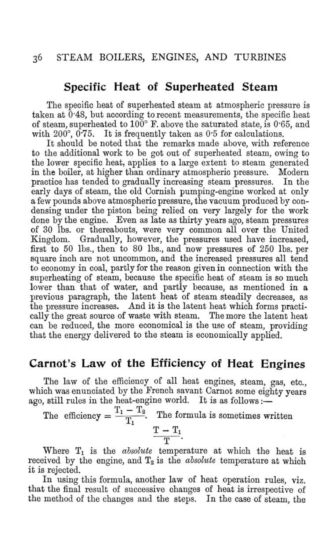### Specific Heat of Superheated Steam

The specific heat of superheated steam at atmospheric pressure is taken at  $0.48$ , but according to recent measurements, the specific heat of steam, superheated to  $100^{\circ}$  F, above the saturated state, is 0.65, and with  $200^{\circ}$ ,  $0.75$ . It is frequently taken as 0.5 for calculations.

It should be noted that the remarks made above, with reference to the additional work to be got out of superheated steam, owing to the lower specific heat, applies to a large extent to steam generated in the boiler, at higher than ordinary atmospheric pressure. Modern practice has tended to gradually increasing steam pressures. In the early days of steam, the old Cornish pumping-engine worked at only a few pounds above atmospheric pressure, the vacuum produced by condensing under the piston being relied on very largely for the work done by the engine. Even as late as thirty years ago, steam pressures of 30 lbs. or thereabouts, were very common all over the United Kingdom. Gradually, however, the pressures used have increased, first to 50 lbs., then to 80 lbs., and now pressures of 250 lbs. per square inch are not uncommon, and the increased pressures all tend to economy in coal, partly for the reason given in connection with the superheating of steam, because the specific heat of steam is so much lower than that of water, and partly because, as mentioned in a previous paragraph, the latent heat of steam steadily decreases, as the pressure increases. And it is the latent heat which forms practically the great source of waste with steam. The more the latent heat can be reduced, the more economical is the use of steam, providing that the energy delivered to the steam is economically applied.

## Carnot's Law of the Efficiency of Heat Engines

The law of the efficiency of all heat engines, steam, gas, etc., which was enunciated by the French savant Carnot some eighty years ago, still rules in the heat-engine world. It is as follows:-

The efficiency =  $\frac{T_1 - T_2}{T_1}$ . The formula is sometimes written

$$
\frac{T-T_1}{T}.
$$

Where  $T_1$  is the *absolute* temperature at which the heat is received by the engine, and  $T_2$  is the *absolute* temperature at which it is rejected.

In using this formula, another law of heat operation rules, viz. that the final result of successive changes of heat is irrespective of the method of the changes and the steps. In the case of steam. the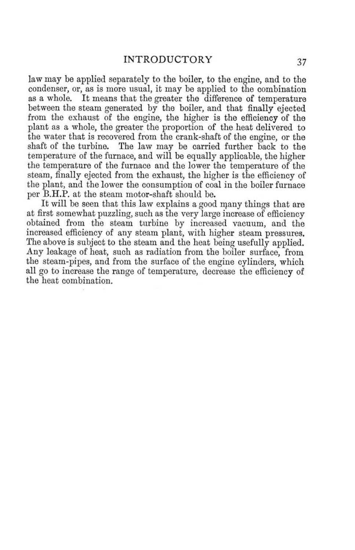law may be applied separately to the boiler, to the engine, and to the condenser, or, as is more usual, it may be applied to the combination as a whole. It means that the greater the difference of temperature between the steam generated by the boiler, and that finally ejected from the exhaust of the engine, the higher is the efficiency of the plant as a whole, the greater the proportion of the heat delivered to the water that is recovered from the crank-shaft of the engine, or the The law may be carried further back to the shaft of the turbine. temperature of the furnace, and will be equally applicable, the higher the temperature of the furnace and the lower the temperature of the steam, finally ejected from the exhaust, the higher is the efficiency of the plant, and the lower the consumption of coal in the boiler furnace per B.H.P. at the steam motor-shaft should be.

It will be seen that this law explains a good many things that are at first somewhat puzzling, such as the very large increase of efficiency obtained from the steam turbine by increased vacuum, and the increased efficiency of any steam plant, with higher steam pressures. The above is subject to the steam and the heat being usefully applied. Any leakage of heat, such as radiation from the boiler surface, from the steam-pipes, and from the surface of the engine cylinders, which all go to increase the range of temperature, decrease the efficiency of the heat combination.